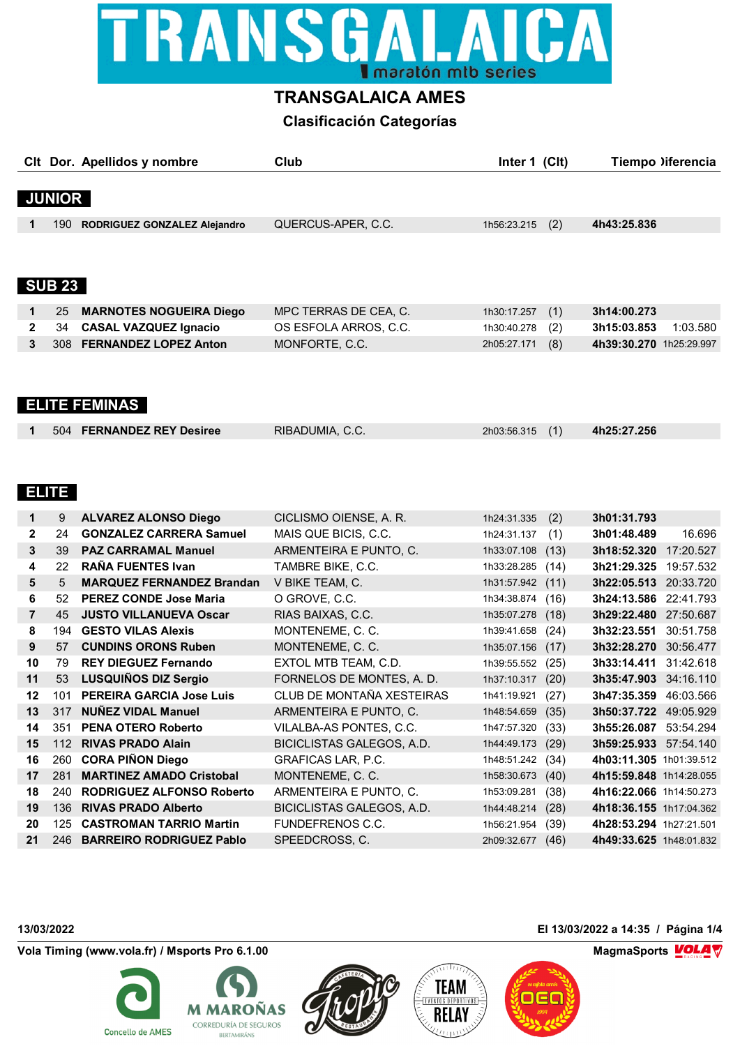

# **TRANSGALAICA AMES**

# **Clasificación Categorías**

|              |               | CIt Dor. Apellidos y nombre    | Club                  | (C <sub>l</sub> )<br>Inter 1 | Tiempo )iferencia       |
|--------------|---------------|--------------------------------|-----------------------|------------------------------|-------------------------|
|              |               |                                |                       |                              |                         |
|              | <b>JUNIOR</b> |                                |                       |                              |                         |
|              | 190           | RODRIGUEZ GONZALEZ Alejandro   | QUERCUS-APER, C.C.    | (2)<br>1h56:23.215           | 4h43:25.836             |
|              |               |                                |                       |                              |                         |
|              |               |                                |                       |                              |                         |
|              | <b>SUB 23</b> |                                |                       |                              |                         |
| 1            | 25            | <b>MARNOTES NOGUEIRA Diego</b> | MPC TERRAS DE CEA, C. | (1)<br>1h30:17.257           | 3h14:00.273             |
| $\mathbf{2}$ | 34            | <b>CASAL VAZQUEZ Ignacio</b>   | OS ESFOLA ARROS, C.C. | (2)<br>1h30:40.278           | 3h15:03.853<br>1:03.580 |
| 3            | 308           | <b>FERNANDEZ LOPEZ Anton</b>   | MONFORTE, C.C.        | (8)<br>2h05:27.171           | 4h39:30.270 1h25:29.997 |
|              |               |                                |                       |                              |                         |

# **ELITE FEMINAS**

| RIBADUMIA, C.C.<br>504 FERNANDEZ REY Desiree<br>4h25:27.256<br>2h03:56.315 (1) |  |
|--------------------------------------------------------------------------------|--|

## **ELITE**

| 1              | 9   | <b>ALVAREZ ALONSO Diego</b>      | CICLISMO OIENSE, A. R.    | 1h24:31.335 | (2)  | 3h01:31.793             |           |
|----------------|-----|----------------------------------|---------------------------|-------------|------|-------------------------|-----------|
| $\mathbf{2}$   | 24  | <b>GONZALEZ CARRERA Samuel</b>   | MAIS QUE BICIS, C.C.      | 1h24:31.137 | (1)  | 3h01:48.489             | 16.696    |
| 3              | 39  | <b>PAZ CARRAMAL Manuel</b>       | ARMENTEIRA E PUNTO, C.    | 1h33:07.108 | (13) | 3h18:52.320             | 17:20.527 |
| 4              | 22  | <b>RAÑA FUENTES Ivan</b>         | TAMBRE BIKE, C.C.         | 1h33:28.285 | (14) | 3h21:29.325             | 19:57.532 |
| 5              | 5   | <b>MARQUEZ FERNANDEZ Brandan</b> | V BIKE TEAM, C.           | 1h31:57.942 | (11) | 3h22:05.513             | 20:33.720 |
| 6              | 52  | <b>PEREZ CONDE Jose Maria</b>    | O GROVE, C.C.             | 1h34:38.874 | (16) | 3h24:13.586             | 22:41.793 |
| $\overline{7}$ | 45  | <b>JUSTO VILLANUEVA Oscar</b>    | RIAS BAIXAS, C.C.         | 1h35:07.278 | (18) | 3h29:22.480             | 27:50.687 |
| 8              | 194 | <b>GESTO VILAS Alexis</b>        | MONTENEME, C. C.          | 1h39:41.658 | (24) | 3h32:23.551             | 30:51.758 |
| 9              | 57  | <b>CUNDINS ORONS Ruben</b>       | MONTENEME, C. C.          | 1h35:07.156 | (17) | 3h32:28.270             | 30:56.477 |
| 10             | 79  | <b>REY DIEGUEZ Fernando</b>      | EXTOL MTB TEAM, C.D.      | 1h39:55.552 | (25) | 3h33:14.411             | 31:42.618 |
| 11             | 53  | <b>LUSQUIÑOS DIZ Sergio</b>      | FORNELOS DE MONTES, A. D. | 1h37:10.317 | (20) | 3h35:47.903             | 34:16.110 |
| 12             | 101 | <b>PEREIRA GARCIA Jose Luis</b>  | CLUB DE MONTAÑA XESTEIRAS | 1h41:19.921 | (27) | 3h47:35.359             | 46:03.566 |
| 13             | 317 | <b>NUÑEZ VIDAL Manuel</b>        | ARMENTEIRA E PUNTO, C.    | 1h48:54.659 | (35) | 3h50:37.722             | 49:05.929 |
| 14             | 351 | <b>PENA OTERO Roberto</b>        | VILALBA-AS PONTES, C.C.   | 1h47:57.320 | (33) | 3h55:26.087             | 53:54.294 |
| 15             | 112 | <b>RIVAS PRADO Alain</b>         | BICICLISTAS GALEGOS, A.D. | 1h44:49.173 | (29) | 3h59:25.933             | 57:54.140 |
| 16             | 260 | <b>CORA PIÑON Diego</b>          | <b>GRAFICAS LAR, P.C.</b> | 1h48:51.242 | (34) | 4h03:11.305 1h01:39.512 |           |
| 17             | 281 | <b>MARTINEZ AMADO Cristobal</b>  | MONTENEME, C. C.          | 1h58:30.673 | (40) | 4h15:59.848 1h14:28.055 |           |
| 18             | 240 | <b>RODRIGUEZ ALFONSO Roberto</b> | ARMENTEIRA E PUNTO, C.    | 1h53:09.281 | (38) | 4h16:22.066 1h14:50.273 |           |
| 19             | 136 | <b>RIVAS PRADO Alberto</b>       | BICICLISTAS GALEGOS, A.D. | 1h44:48.214 | (28) | 4h18:36.155 1h17:04.362 |           |
| 20             | 125 | <b>CASTROMAN TARRIO Martin</b>   | FUNDEFRENOS C.C.          | 1h56:21.954 | (39) | 4h28:53.294 1h27:21.501 |           |
| 21             | 246 | <b>BARREIRO RODRIGUEZ Pablo</b>  | SPEEDCROSS, C.            | 2h09:32.677 | (46) | 4h49:33.625 1h48:01.832 |           |

### **Vola Timing (www.vola.fr) / Msports Pro 6.1.00 MagmaChanger 3.1.00 MagmaChanger 3.1.00 MagmaChanger 3.1.00 MagmaChanger 3.1.00**









OEC

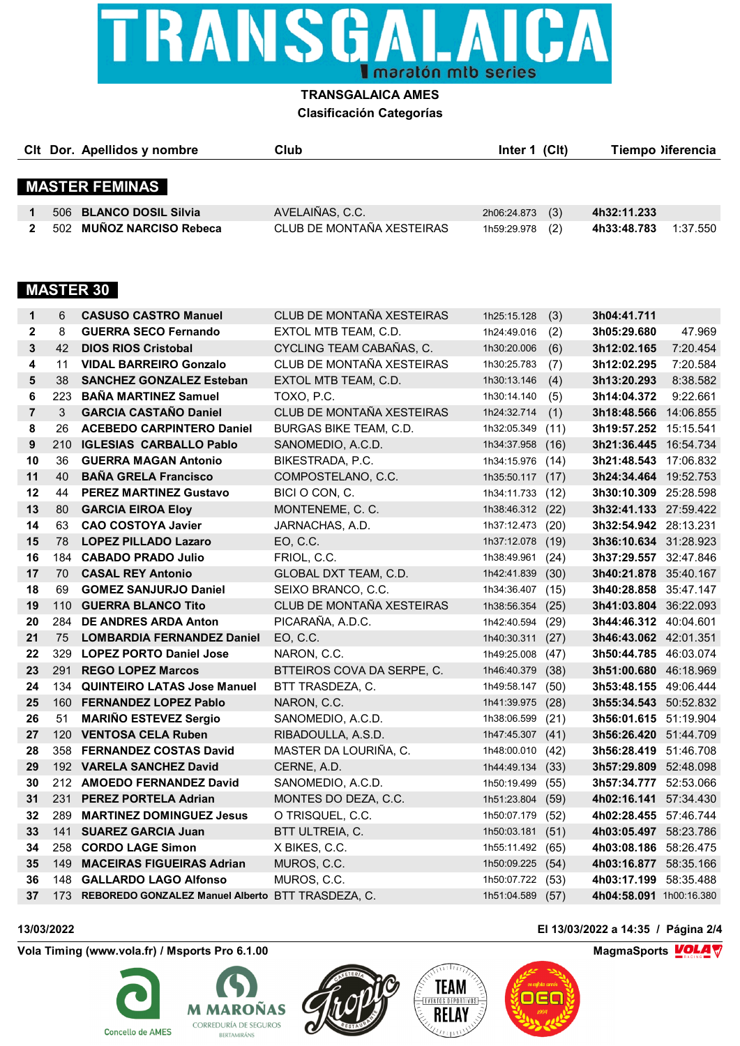

### **TRANSGALAICA AMES Clasificación Categorías**

| Cit Dor. Apellidos y nombre | Club                      | Inter 1 (CIt)      | Tiempo liferencia       |
|-----------------------------|---------------------------|--------------------|-------------------------|
| <b>MASTER FEMINAS</b>       |                           |                    |                         |
| 506 BLANCO DOSIL Silvia     | AVELAIÑAS, C.C.           | (3)<br>2h06:24.873 | 4h32:11.233             |
| 502 MUÑOZ NARCISO Rebeca    | CLUB DE MONTAÑA XESTEIRAS | 1h59:29.978 (2)    | 1:37.550<br>4h33:48.783 |

# **MASTER 30**

| 1              | 6   | <b>CASUSO CASTRO Manuel</b>                           | CLUB DE MONTAÑA XESTEIRAS  | 1h25:15.128      | (3)  | 3h04:41.711                  |           |
|----------------|-----|-------------------------------------------------------|----------------------------|------------------|------|------------------------------|-----------|
| $\mathbf{2}$   | 8   | <b>GUERRA SECO Fernando</b>                           | EXTOL MTB TEAM, C.D.       | 1h24:49.016      | (2)  | 3h05:29.680                  | 47.969    |
| 3              | 42  | <b>DIOS RIOS Cristobal</b>                            | CYCLING TEAM CABAÑAS, C.   | 1h30:20.006      | (6)  | 3h12:02.165                  | 7:20.454  |
| 4              | 11  | <b>VIDAL BARREIRO Gonzalo</b>                         | CLUB DE MONTAÑA XESTEIRAS  | 1h30:25.783      | (7)  | 3h12:02.295                  | 7:20.584  |
| 5              | 38  | <b>SANCHEZ GONZALEZ Esteban</b>                       | EXTOL MTB TEAM, C.D.       | 1h30:13.146      | (4)  | 3h13:20.293                  | 8:38.582  |
| 6              | 223 | <b>BANA MARTINEZ Samuel</b>                           | TOXO, P.C.                 | 1h30:14.140      | (5)  | 3h14:04.372                  | 9:22.661  |
| $\overline{7}$ | 3   | <b>GARCIA CASTAÑO Daniel</b>                          | CLUB DE MONTAÑA XESTEIRAS  | 1h24:32.714      | (1)  | 3h18:48.566 14:06.855        |           |
| 8              | 26  | <b>ACEBEDO CARPINTERO Daniel</b>                      | BURGAS BIKE TEAM, C.D.     | 1h32:05.349      | (11) | 3h19:57.252 15:15.541        |           |
| 9              | 210 | <b>IGLESIAS CARBALLO Pablo</b>                        | SANOMEDIO, A.C.D.          | 1h34:37.958      | (16) | 3h21:36.445 16:54.734        |           |
| 10             | 36  | <b>GUERRA MAGAN Antonio</b>                           | BIKESTRADA, P.C.           | 1h34:15.976      | (14) | 3h21:48.543 17:06.832        |           |
| 11             | 40  | <b>BAÑA GRELA Francisco</b>                           | COMPOSTELANO, C.C.         | 1h35:50.117 (17) |      | 3h24:34.464 19:52.753        |           |
| 12             | 44  | <b>PEREZ MARTINEZ Gustavo</b>                         | BICI O CON, C.             | 1h34:11.733      | (12) | 3h30:10.309                  | 25:28.598 |
| 13             | 80  | <b>GARCIA EIROA Eloy</b>                              | MONTENEME, C. C.           | 1h38:46.312 (22) |      | 3h32:41.133 27:59.422        |           |
| 14             | 63  | <b>CAO COSTOYA Javier</b>                             | JARNACHAS, A.D.            | 1h37:12.473 (20) |      | 3h32:54.942 28:13.231        |           |
| 15             | 78  | <b>LOPEZ PILLADO Lazaro</b>                           | EO, C.C.                   | 1h37:12.078      | (19) | 3h36:10.634 31:28.923        |           |
| 16             | 184 | <b>CABADO PRADO Julio</b>                             | FRIOL, C.C.                | 1h38:49.961      | (24) | 3h37:29.557 32:47.846        |           |
| 17             | 70  | <b>CASAL REY Antonio</b>                              | GLOBAL DXT TEAM, C.D.      | 1h42:41.839      | (30) | 3h40:21.878 35:40.167        |           |
| 18             | 69  | <b>GOMEZ SANJURJO Daniel</b>                          | SEIXO BRANCO, C.C.         | 1h34:36.407 (15) |      | 3h40:28.858                  | 35:47.147 |
| 19             | 110 | <b>GUERRA BLANCO Tito</b>                             | CLUB DE MONTAÑA XESTEIRAS  | 1h38:56.354      | (25) | 3h41:03.804 36:22.093        |           |
| 20             | 284 | <b>DE ANDRES ARDA Anton</b>                           | PICARAÑA, A.D.C.           | 1h42:40.594      | (29) | 3h44:46.312 40:04.601        |           |
| 21             | 75  | <b>LOMBARDIA FERNANDEZ Daniel</b>                     | EO, C.C.                   | 1h40:30.311 (27) |      | 3h46:43.062 42:01.351        |           |
| 22             | 329 | <b>LOPEZ PORTO Daniel Jose</b>                        | NARON, C.C.                | 1h49:25.008      | (47) | 3h50:44.785 46:03.074        |           |
| 23             | 291 | <b>REGO LOPEZ Marcos</b>                              | BTTEIROS COVA DA SERPE, C. | 1h46:40.379      | (38) | 3h51:00.680 46:18.969        |           |
| 24             |     | 134 QUINTEIRO LATAS Jose Manuel                       | BTT TRASDEZA, C.           | 1h49:58.147 (50) |      | 3h53:48.155 49:06.444        |           |
| 25             | 160 | <b>FERNANDEZ LOPEZ Pablo</b>                          | NARON, C.C.                | 1h41:39.975      | (28) | 3h55:34.543 50:52.832        |           |
| 26             | 51  | <b>MARIÑO ESTEVEZ Sergio</b>                          | SANOMEDIO, A.C.D.          | 1h38:06.599      | (21) | 3h56:01.615 51:19.904        |           |
| 27             |     | 120 VENTOSA CELA Ruben                                | RIBADOULLA, A.S.D.         | 1h47:45.307 (41) |      | 3h56:26.420 51:44.709        |           |
| 28             |     | 358 FERNANDEZ COSTAS David                            | MASTER DA LOURIÑA, C.      | 1h48:00.010      | (42) | <b>3h56:28.419</b> 51:46.708 |           |
| 29             |     | 192 VARELA SANCHEZ David                              | CERNE, A.D.                | 1h44:49.134      | (33) | 3h57:29.809 52:48.098        |           |
| 30             |     | 212 AMOEDO FERNANDEZ David                            | SANOMEDIO, A.C.D.          | 1h50:19.499      | (55) | 3h57:34.777 52:53.066        |           |
| 31             | 231 | <b>PEREZ PORTELA Adrian</b>                           | MONTES DO DEZA, C.C.       | 1h51:23.804      | (59) | 4h02:16.141 57:34.430        |           |
| 32             | 289 | <b>MARTINEZ DOMINGUEZ Jesus</b>                       | O TRISQUEL, C.C.           | 1h50:07.179      | (52) | 4h02:28.455 57:46.744        |           |
| 33             |     | 141 SUAREZ GARCIA Juan                                | BTT ULTREIA, C.            | 1h50:03.181 (51) |      | 4h03:05.497 58:23.786        |           |
| 34             |     | 258 CORDO LAGE Simon                                  | X BIKES, C.C.              | 1h55:11.492      | (65) | 4h03:08.186 58:26.475        |           |
| 35             | 149 | <b>MACEIRAS FIGUEIRAS Adrian</b>                      | MUROS, C.C.                | 1h50:09.225      | (54) | 4h03:16.877 58:35.166        |           |
| 36             |     | 148 GALLARDO LAGO Alfonso                             | MUROS, C.C.                | 1h50:07.722      | (53) | 4h03:17.199                  | 58:35.488 |
| 37             |     | 173 REBOREDO GONZALEZ Manuel Alberto BTT TRASDEZA, C. |                            | 1h51:04.589      | (57) | 4h04:58.091 1h00:16.380      |           |
|                |     |                                                       |                            |                  |      |                              |           |

**Vola Timing (www.vola.fr) / Msports Pro 6.1.00 MagmaSports MagmaSports MagmaSports MOLA** 







OEG

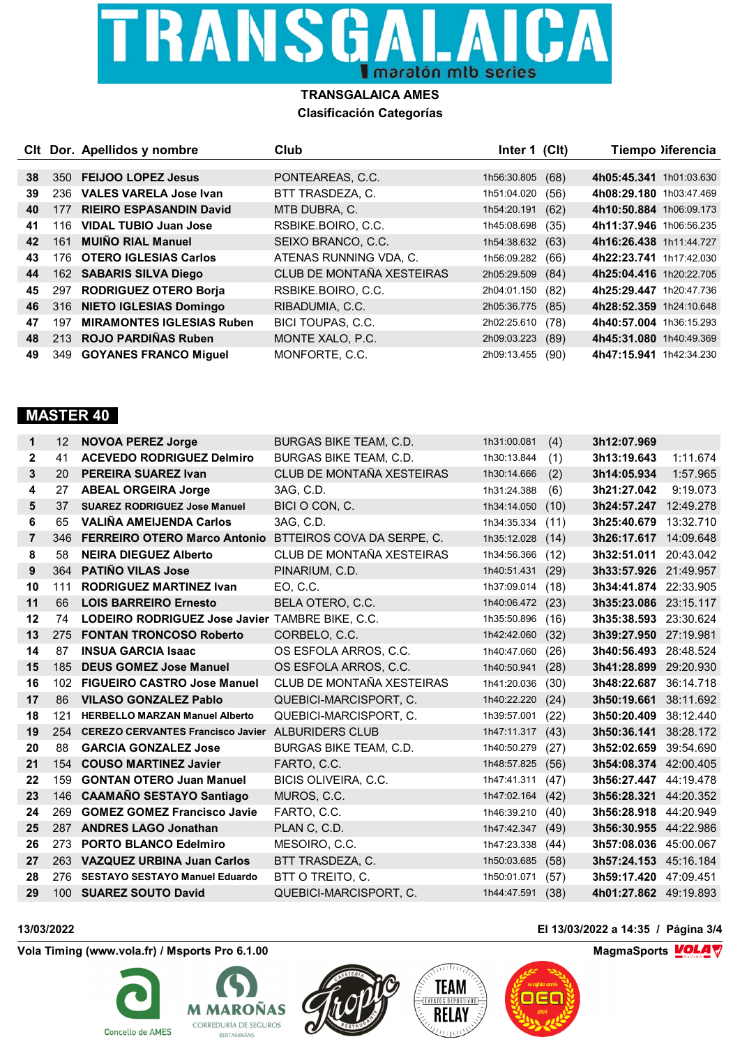

### **TRANSGALAICA AMES Clasificación Categorías**

|    |     | CIt Dor. Apellidos y nombre      | Club                      | Inter 1 (CIt) |      | Tiempo liferencia       |
|----|-----|----------------------------------|---------------------------|---------------|------|-------------------------|
|    |     |                                  |                           |               |      |                         |
| 38 | 350 | <b>FEIJOO LOPEZ Jesus</b>        | PONTEAREAS, C.C.          | 1h56:30.805   | (68) | 4h05:45.341 1h01:03.630 |
| 39 | 236 | <b>VALES VARELA Jose Ivan</b>    | BTT TRASDEZA, C.          | 1h51:04.020   | (56) | 4h08:29.180 1h03:47.469 |
| 40 | 177 | <b>RIEIRO ESPASANDIN David</b>   | MTB DUBRA, C.             | 1h54:20.191   | (62) | 4h10:50.884 1h06:09.173 |
| 41 | 116 | <b>VIDAL TUBIO Juan Jose</b>     | RSBIKE.BOIRO, C.C.        | 1h45:08.698   | (35) | 4h11:37.946 1h06:56.235 |
| 42 | 161 | <b>MUIÑO RIAL Manuel</b>         | SEIXO BRANCO, C.C.        | 1h54:38.632   | (63) | 4h16:26.438 1h11:44.727 |
| 43 |     | 176 OTERO IGLESIAS Carlos        | ATENAS RUNNING VDA, C.    | 1h56:09.282   | (66) | 4h22:23.741 1h17:42.030 |
| 44 |     | 162 SABARIS SILVA Diego          | CLUB DE MONTAÑA XESTEIRAS | 2h05:29.509   | (84) | 4h25:04.416 1h20:22.705 |
| 45 |     | 297 RODRIGUEZ OTERO Borja        | RSBIKE.BOIRO, C.C.        | 2h04:01.150   | (82) | 4h25:29.447 1h20:47.736 |
| 46 | 316 | <b>NIETO IGLESIAS Domingo</b>    | RIBADUMIA, C.C.           | 2h05:36.775   | (85) | 4h28:52.359 1h24:10.648 |
| 47 | 197 | <b>MIRAMONTES IGLESIAS Ruben</b> | BICI TOUPAS, C.C.         | 2h02:25.610   | (78) | 4h40:57.004 1h36:15.293 |
| 48 |     | 213 ROJO PARDIÑAS Ruben          | MONTE XALO, P.C.          | 2h09:03.223   | (89) | 4h45:31.080 1h40:49.369 |
| 49 | 349 | <b>GOYANES FRANCO Miguel</b>     | MONFORTE, C.C.            | 2h09:13.455   | (90) | 4h47:15.941 1h42:34.230 |

## **MASTER 40**

| 1            | 12               | <b>NOVOA PEREZ Jorge</b>                                 | <b>BURGAS BIKE TEAM, C.D.</b> | 1h31:00.081 | (4)  | 3h12:07.969           |           |
|--------------|------------------|----------------------------------------------------------|-------------------------------|-------------|------|-----------------------|-----------|
| $\mathbf{2}$ | 41               | <b>ACEVEDO RODRIGUEZ Delmiro</b>                         | BURGAS BIKE TEAM, C.D.        | 1h30:13.844 | (1)  | 3h13:19.643           | 1:11.674  |
| 3            | 20               | <b>PEREIRA SUAREZ Ivan</b>                               | CLUB DE MONTAÑA XESTEIRAS     | 1h30:14.666 | (2)  | 3h14:05.934           | 1:57.965  |
| 4            | 27               | <b>ABEAL ORGEIRA Jorge</b>                               | 3AG, C.D.                     | 1h31:24.388 | (6)  | 3h21:27.042           | 9:19.073  |
| 5            | 37               | <b>SUAREZ RODRIGUEZ Jose Manuel</b>                      | BICI O CON, C.                | 1h34:14.050 | (10) | 3h24:57.247 12:49.278 |           |
| 6            | 65               | <b>VALIÑA AMEIJENDA Carlos</b>                           | 3AG, C.D.                     | 1h34:35.334 | (11) | 3h25:40.679           | 13:32.710 |
| 7            | 346              | <b>FERREIRO OTERO Marco Antonio</b>                      | BTTEIROS COVA DA SERPE, C.    | 1h35:12.028 | (14) | 3h26:17.617 14:09.648 |           |
| 8            | 58               | <b>NEIRA DIEGUEZ Alberto</b>                             | CLUB DE MONTAÑA XESTEIRAS     | 1h34:56.366 | (12) | 3h32:51.011           | 20:43.042 |
| 9            | 364              | <b>PATIÑO VILAS Jose</b>                                 | PINARIUM, C.D.                | 1h40:51.431 | (29) | 3h33:57.926 21:49.957 |           |
| 10           | 111              | <b>RODRIGUEZ MARTINEZ Ivan</b>                           | EO, C.C.                      | 1h37:09.014 | (18) | 3h34:41.874 22:33.905 |           |
| 11           | 66               | <b>LOIS BARREIRO Ernesto</b>                             | BELA OTERO, C.C.              | 1h40:06.472 | (23) | 3h35:23.086 23:15.117 |           |
| 12           | 74               | <b>LODEIRO RODRIGUEZ Jose Javier TAMBRE BIKE, C.C.</b>   |                               | 1h35:50.896 | (16) | 3h35:38.593           | 23:30.624 |
| 13           | 275              | <b>FONTAN TRONCOSO Roberto</b>                           | CORBELO, C.C.                 | 1h42:42.060 | (32) | 3h39:27.950 27:19.981 |           |
| 14           | 87               | <b>INSUA GARCIA Isaac</b>                                | OS ESFOLA ARROS, C.C.         | 1h40:47.060 | (26) | 3h40:56.493           | 28:48.524 |
| 15           | 185              | <b>DEUS GOMEZ Jose Manuel</b>                            | OS ESFOLA ARROS, C.C.         | 1h40:50.941 | (28) | 3h41:28.899           | 29:20.930 |
| 16           | 102 <sub>2</sub> | <b>FIGUEIRO CASTRO Jose Manuel</b>                       | CLUB DE MONTAÑA XESTEIRAS     | 1h41:20.036 | (30) | 3h48:22.687           | 36:14.718 |
| 17           | 86               | <b>VILASO GONZALEZ Pablo</b>                             | QUEBICI-MARCISPORT, C.        | 1h40:22.220 | (24) | 3h50:19.661           | 38:11.692 |
| 18           | 121              | <b>HERBELLO MARZAN Manuel Alberto</b>                    | QUEBICI-MARCISPORT, C.        | 1h39:57.001 | (22) | 3h50:20.409           | 38:12.440 |
| 19           | 254              | <b>CEREZO CERVANTES Francisco Javier ALBURIDERS CLUB</b> |                               | 1h47:11.317 | (43) | 3h50:36.141           | 38:28.172 |
| 20           | 88               | <b>GARCIA GONZALEZ Jose</b>                              | BURGAS BIKE TEAM, C.D.        | 1h40:50.279 | (27) | 3h52:02.659           | 39:54.690 |
| 21           | 154              | <b>COUSO MARTINEZ Javier</b>                             | FARTO, C.C.                   | 1h48:57.825 | (56) | 3h54:08.374 42:00.405 |           |
| 22           | 159              | <b>GONTAN OTERO Juan Manuel</b>                          | BICIS OLIVEIRA, C.C.          | 1h47:41.311 | (47) | 3h56:27.447           | 44:19.478 |
| 23           | 146              | <b>CAAMAÑO SESTAYO Santiago</b>                          | MUROS, C.C.                   | 1h47:02.164 | (42) | 3h56:28.321           | 44:20.352 |
| 24           | 269              | <b>GOMEZ GOMEZ Francisco Javie</b>                       | FARTO, C.C.                   | 1h46:39.210 | (40) | 3h56:28.918 44:20.949 |           |
| 25           | 287              | <b>ANDRES LAGO Jonathan</b>                              | PLAN C, C.D.                  | 1h47:42.347 | (49) | 3h56:30.955 44:22.986 |           |
| 26           | 273              | <b>PORTO BLANCO Edelmiro</b>                             | MESOIRO, C.C.                 | 1h47:23.338 | (44) | 3h57:08.036           | 45:00.067 |
| 27           | 263              | <b>VAZQUEZ URBINA Juan Carlos</b>                        | BTT TRASDEZA, C.              | 1h50:03.685 | (58) | 3h57:24.153 45:16.184 |           |
| 28           | 276              | <b>SESTAYO SESTAYO Manuel Eduardo</b>                    | BTT O TREITO, C.              | 1h50:01.071 | (57) | 3h59:17.420           | 47:09.451 |
| 29           | 100              | <b>SUAREZ SOUTO David</b>                                | QUEBICI-MARCISPORT. C.        | 1h44:47.591 | (38) | 4h01:27.862 49:19.893 |           |

Vola Timing (www.vola.fr) / Msports Pro 6.1.00 **MagmaChange Street Assembly Collective MagmaChange MagmaChange Mold** 







OEG